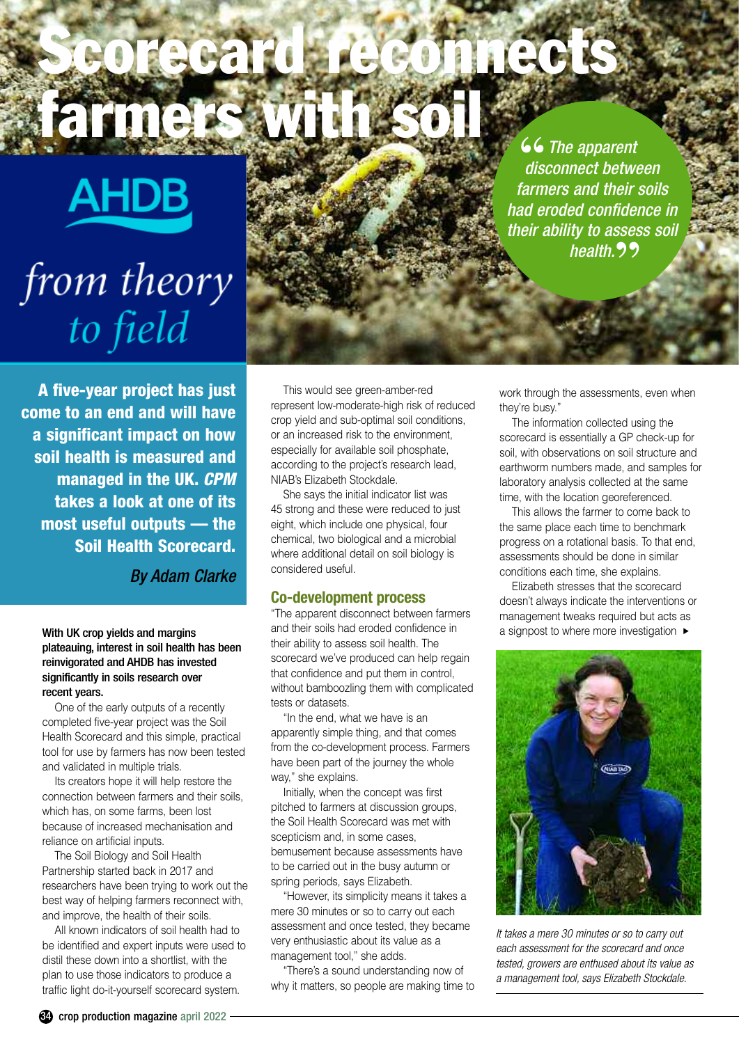# **Scorecard reconnects farmers with soil**

**AHDB** 

## from theory to field

**66** The apparent disconnect betwe *disconnect between farmers and their soils had eroded confidence in their ability to assess soil health.* **"**

**A five-year project has just come to an end and will have a significant impact on how soil health is measured and managed in the UK.** *CPM* **takes a look at one of its most useful outputs –– the Soil Health Scorecard.**

*By Adam Clarke*

With UK crop yields and margins plateauing, interest in soil health has been reinvigorated and AHDB has invested significantly in soils research over recent years.

One of the early outputs of a recently completed five-year project was the Soil Health Scorecard and this simple, practical tool for use by farmers has now been tested and validated in multiple trials.

Its creators hope it will help restore the connection between farmers and their soils, which has, on some farms, been lost because of increased mechanisation and reliance on artificial inputs.

The Soil Biology and Soil Health Partnership started back in 2017 and researchers have been trying to work out the best way of helping farmers reconnect with, and improve, the health of their soils.

All known indicators of soil health had to be identified and expert inputs were used to distil these down into a shortlist, with the plan to use those indicators to produce a traffic light do-it-yourself scorecard system.

This would see green-amber-red represent low-moderate-high risk of reduced crop yield and sub-optimal soil conditions, or an increased risk to the environment, especially for available soil phosphate, according to the project's research lead, NIAB's Elizabeth Stockdale.

She says the initial indicator list was 45 strong and these were reduced to just eight, which include one physical, four chemical, two biological and a microbial where additional detail on soil biology is considered useful.

#### **Co-development process**

"The apparent disconnect between farmers and their soils had eroded confidence in their ability to assess soil health. The scorecard we've produced can help regain that confidence and put them in control, without bamboozling them with complicated tests or datasets.

"In the end, what we have is an apparently simple thing, and that comes from the co-development process. Farmers have been part of the journey the whole way," she explains.

Initially, when the concept was first pitched to farmers at discussion groups, the Soil Health Scorecard was met with scepticism and, in some cases, bemusement because assessments have to be carried out in the busy autumn or spring periods, says Elizabeth.

"However, its simplicity means it takes a mere 30 minutes or so to carry out each assessment and once tested, they became very enthusiastic about its value as a management tool," she adds.

"There's a sound understanding now of why it matters, so people are making time to work through the assessments, even when they're busy."

The information collected using the scorecard is essentially a GP check-up for soil, with observations on soil structure and earthworm numbers made, and samples for laboratory analysis collected at the same time, with the location georeferenced.

This allows the farmer to come back to the same place each time to benchmark progress on a rotational basis. To that end, assessments should be done in similar conditions each time, she explains.

Elizabeth stresses that the scorecard doesn't always indicate the interventions or management tweaks required but acts as a signpost to where more investigation **▲**



*It takes a mere 30 minutes or so to carry out each assessment for the scorecard and once tested, growers are enthused about its value as a management tool, says Elizabeth Stockdale.*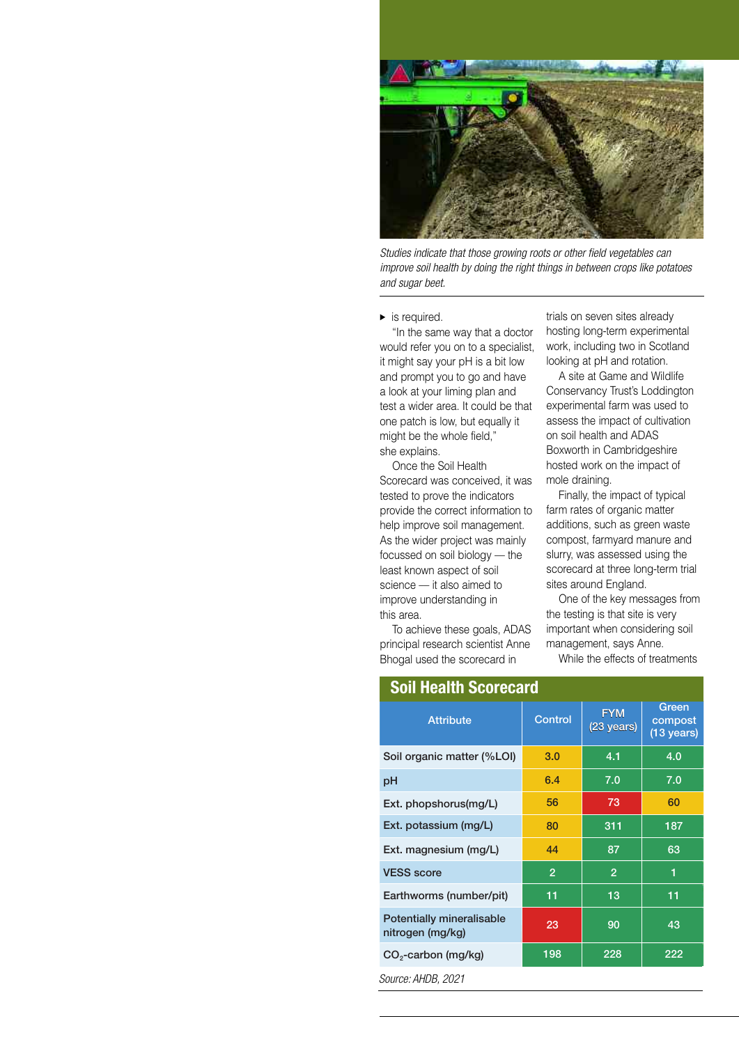

*Studies indicate that those growing roots or other field vegetables can improve soil health by doing the right things in between crops like potatoes and sugar beet.*

is required. **▲**

"In the same way that a doctor would refer you on to a specialist, it might say your pH is a bit low and prompt you to go and have a look at your liming plan and test a wider area. It could be that one patch is low, but equally it might be the whole field," she explains.

Once the Soil Health Scorecard was conceived, it was tested to prove the indicators provide the correct information to help improve soil management. As the wider project was mainly focussed on soil biology - the least known aspect of soil science — it also aimed to improve understanding in this area.

trials on seven sites already hosting long-term experimental work, including two in Scotland looking at pH and rotation.

A site at Game and Wildlife Conservancy Trust's Loddington experimental farm was used to assess the impact of cultivation on soil health and ADAS Boxworth in Cambridgeshire hosted work on the impact of mole draining.

Finally, the impact of typical farm rates of organic matter additions, such as green waste compost, farmyard manure and slurry, was assessed using the scorecard at three long-term trial sites around England.

| provide the correct information to<br>help improve soil management.<br>As the wider project was mainly<br>focussed on soil biology - the<br>least known aspect of soil<br>science - it also aimed to<br>improve understanding in<br>this area.<br>principal research scientist Anne<br>Bhogal used the scorecard in | To achieve these goals, ADAS |                          | farm rates of organic matter<br>additions, such as green waste<br>compost, farmyard manure and<br>slurry, was assessed using the<br>scorecard at three long-term trial<br>sites around England.<br>One of the key messages from<br>the testing is that site is very<br>important when considering soil<br>management, says Anne.<br>While the effects of treatments |  |
|---------------------------------------------------------------------------------------------------------------------------------------------------------------------------------------------------------------------------------------------------------------------------------------------------------------------|------------------------------|--------------------------|---------------------------------------------------------------------------------------------------------------------------------------------------------------------------------------------------------------------------------------------------------------------------------------------------------------------------------------------------------------------|--|
| <b>Soil Health Scorecard</b>                                                                                                                                                                                                                                                                                        |                              |                          |                                                                                                                                                                                                                                                                                                                                                                     |  |
| <b>Attribute</b>                                                                                                                                                                                                                                                                                                    | Control                      | <b>FYM</b><br>(23 years) | Green<br>compost<br>$(13 \text{ years})$                                                                                                                                                                                                                                                                                                                            |  |
| Soil organic matter (%LOI)                                                                                                                                                                                                                                                                                          | 3.0                          | 4.1                      | 4.0                                                                                                                                                                                                                                                                                                                                                                 |  |
| pH                                                                                                                                                                                                                                                                                                                  | 6.4                          | 7.0                      | 7.0                                                                                                                                                                                                                                                                                                                                                                 |  |
| Ext. phopshorus(mg/L)                                                                                                                                                                                                                                                                                               | 56                           | 73                       | 60                                                                                                                                                                                                                                                                                                                                                                  |  |
| Ext. potassium (mg/L)                                                                                                                                                                                                                                                                                               | 80                           | 311                      | 187                                                                                                                                                                                                                                                                                                                                                                 |  |
| Ext. magnesium (mg/L)                                                                                                                                                                                                                                                                                               | 44                           | 87                       | 63                                                                                                                                                                                                                                                                                                                                                                  |  |
| <b>VESS score</b>                                                                                                                                                                                                                                                                                                   | $\overline{2}$               | $\overline{2}$           | 1                                                                                                                                                                                                                                                                                                                                                                   |  |
| Earthworms (number/pit)                                                                                                                                                                                                                                                                                             | 11                           | 13                       | 11                                                                                                                                                                                                                                                                                                                                                                  |  |
| <b>Potentially mineralisable</b><br>nitrogen (mg/kg)                                                                                                                                                                                                                                                                | 23                           | 90                       | 43                                                                                                                                                                                                                                                                                                                                                                  |  |
| $CO2$ -carbon (mg/kg)                                                                                                                                                                                                                                                                                               | 198                          | 228                      | 222                                                                                                                                                                                                                                                                                                                                                                 |  |
| Source: AHDB, 2021                                                                                                                                                                                                                                                                                                  |                              |                          |                                                                                                                                                                                                                                                                                                                                                                     |  |
|                                                                                                                                                                                                                                                                                                                     |                              |                          |                                                                                                                                                                                                                                                                                                                                                                     |  |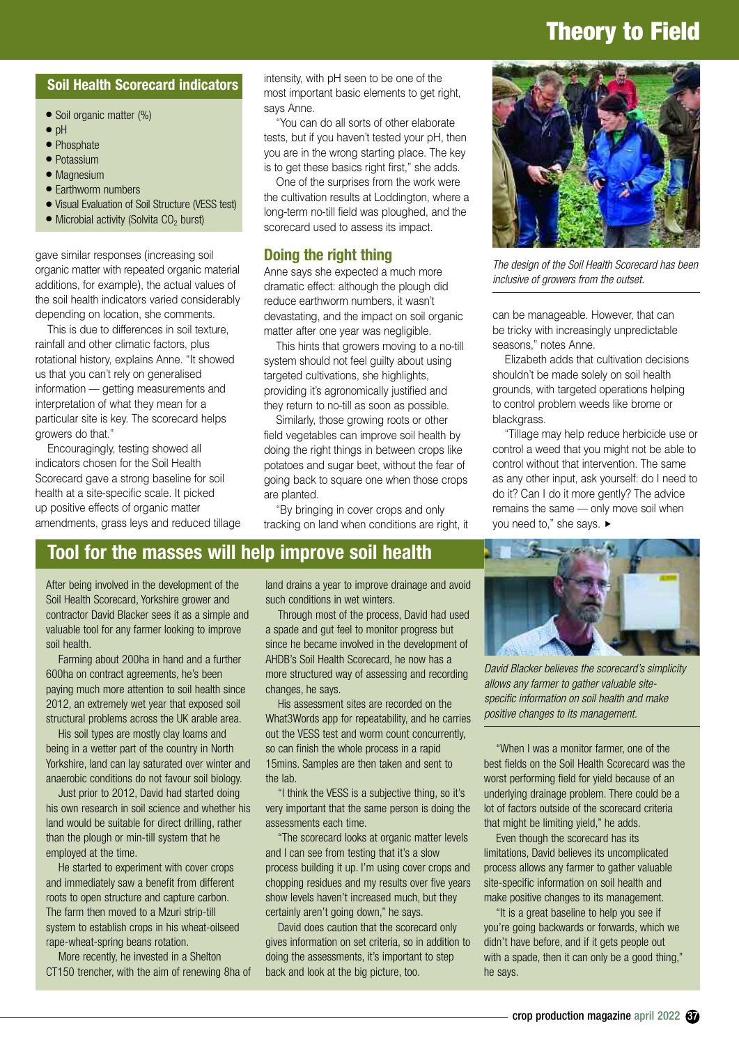## **Theory to Field**

#### **Soil Health Scorecard indicators**

- **●** Soil organic matter (%)
- **●** pH
- **●** Phosphate
- **●** Potassium
- **●** Magnesium
- **●** Earthworm numbers
- **●** Visual Evaluation of Soil Structure (VESS test)
- Microbial activity (Solvita CO<sub>2</sub> burst)

gave similar responses (increasing soil organic matter with repeated organic material additions, for example), the actual values of the soil health indicators varied considerably depending on location, she comments.

This is due to differences in soil texture, rainfall and other climatic factors, plus rotational history, explains Anne. "It showed us that you can't rely on generalised information –– getting measurements and interpretation of what they mean for a particular site is key. The scorecard helps growers do that."

Encouragingly, testing showed all indicators chosen for the Soil Health Scorecard gave a strong baseline for soil health at a site-specific scale. It picked up positive effects of organic matter amendments, grass leys and reduced tillage intensity, with pH seen to be one of the most important basic elements to get right, says Anne.

"You can do all sorts of other elaborate tests, but if you haven't tested your pH, then you are in the wrong starting place. The key is to get these basics right first," she adds.

One of the surprises from the work were the cultivation results at Loddington, where a long-term no-till field was ploughed, and the scorecard used to assess its impact.

#### **Doing the right thing**

Anne says she expected a much more dramatic effect: although the plough did reduce earthworm numbers, it wasn't devastating, and the impact on soil organic matter after one year was negligible.

This hints that growers moving to a no-till system should not feel guilty about using targeted cultivations, she highlights, providing it's agronomically justified and they return to no-till as soon as possible.

Similarly, those growing roots or other field vegetables can improve soil health by doing the right things in between crops like potatoes and sugar beet, without the fear of going back to square one when those crops are planted.

"By bringing in cover crops and only tracking on land when conditions are right, it



*The design of the Soil Health Scorecard has been inclusive of growers from the outset.*

can be manageable. However, that can be tricky with increasingly unpredictable seasons," notes Anne.

Elizabeth adds that cultivation decisions shouldn't be made solely on soil health grounds, with targeted operations helping to control problem weeds like brome or blackgrass.

"Tillage may help reduce herbicide use or control a weed that you might not be able to control without that intervention. The same as any other input, ask yourself: do I need to do it? Can I do it more gently? The advice remains the same –– only move soil when vou need to." she savs. ▶

#### **Tool for the masses will help improve soil health**

After being involved in the development of the Soil Health Scorecard, Yorkshire grower and contractor David Blacker sees it as a simple and valuable tool for any farmer looking to improve soil health.

Farming about 200ha in hand and a further 600ha on contract agreements, he's been paying much more attention to soil health since 2012, an extremely wet year that exposed soil structural problems across the UK arable area.

His soil types are mostly clay loams and being in a wetter part of the country in North Yorkshire, land can lay saturated over winter and anaerobic conditions do not favour soil biology.

Just prior to 2012, David had started doing his own research in soil science and whether his land would be suitable for direct drilling, rather than the plough or min-till system that he employed at the time.

He started to experiment with cover crops and immediately saw a benefit from different roots to open structure and capture carbon. The farm then moved to a Mzuri strip-till system to establish crops in his wheat-oilseed rape-wheat-spring beans rotation.

More recently, he invested in a Shelton CT150 trencher, with the aim of renewing 8ha of land drains a year to improve drainage and avoid such conditions in wet winters.

Through most of the process, David had used a spade and gut feel to monitor progress but since he became involved in the development of AHDB's Soil Health Scorecard, he now has a more structured way of assessing and recording changes, he says.

His assessment sites are recorded on the What3Words app for repeatability, and he carries out the VESS test and worm count concurrently, so can finish the whole process in a rapid 15mins. Samples are then taken and sent to the lab.

"I think the VESS is a subjective thing, so it's very important that the same person is doing the assessments each time.

"The scorecard looks at organic matter levels and I can see from testing that it's a slow process building it up. I'm using cover crops and chopping residues and my results over five years show levels haven't increased much, but they certainly aren't going down," he says.

David does caution that the scorecard only gives information on set criteria, so in addition to doing the assessments, it's important to step back and look at the big picture, too.



*David Blacker believes the scorecard's simplicity allows any farmer to gather valuable sitespecific information on soil health and make positive changes to its management.*

"When I was a monitor farmer, one of the best fields on the Soil Health Scorecard was the worst performing field for yield because of an underlying drainage problem. There could be a lot of factors outside of the scorecard criteria that might be limiting yield," he adds.

Even though the scorecard has its limitations, David believes its uncomplicated process allows any farmer to gather valuable site-specific information on soil health and make positive changes to its management.

"It is a great baseline to help you see if you're going backwards or forwards, which we didn't have before, and if it gets people out with a spade, then it can only be a good thing," he says.